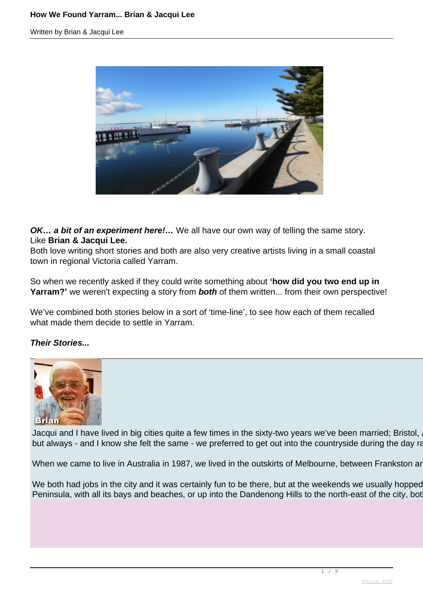

**OK... a bit of an experiment here!...** We all have our own way of telling the same story. Like **Brian & Jacqui Lee.**

Both love writing short stories and both are also very creative artists living in a small coastal town in regional Victoria called Yarram.

So when we recently asked if they could write something about **'how did you two end up in Yarram?'** we weren't expecting a story from **both** of them written... from their own perspective!

We've combined both stories below in a sort of 'time-line', to see how each of them recalled what made them decide to settle in Yarram.

## **Their Stories...**



Jacqui and I have lived in big cities quite a few times in the sixty-two years we've been married; Bristol, but always - and I know she felt the same - we preferred to get out into the countryside during the day rather

When we came to live in Australia in 1987, we lived in the outskirts of Melbourne, between Frankston ar

We both had jobs in the city and it was certainly fun to be there, but at the weekends we usually hopped Peninsula, with all its bays and beaches, or up into the Dandenong Hills to the north-east of the city, bot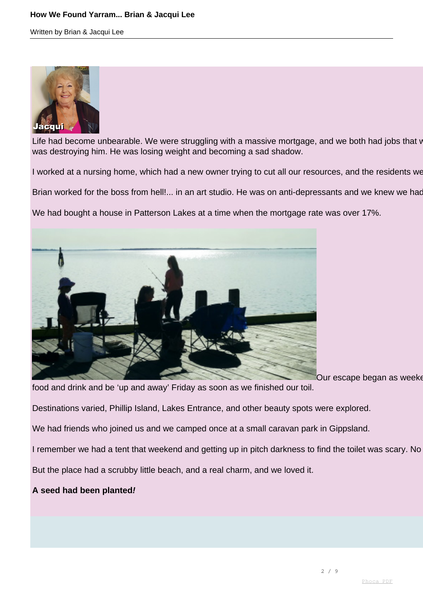

Life had become unbearable. We were struggling with a massive mortgage, and we both had jobs that v was destroying him. He was losing weight and becoming a sad shadow.

I worked at a nursing home, which had a new owner trying to cut all our resources, and the residents we

Brian worked for the boss from hell!... in an art studio. He was on anti-depressants and we knew we had

We had bought a house in Patterson Lakes at a time when the mortgage rate was over 17%.



Our escape began as weekends

food and drink and be 'up and away' Friday as soon as we finished our toil.

Destinations varied, Phillip Island, Lakes Entrance, and other beauty spots were explored.

We had friends who joined us and we camped once at a small caravan park in Gippsland.

I remember we had a tent that weekend and getting up in pitch darkness to find the toilet was scary. No

But the place had a scrubby little beach, and a real charm, and we loved it.

**A seed had been planted!**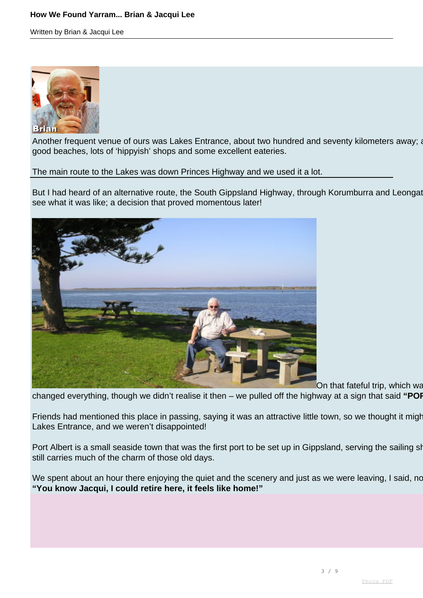## **How We Found Yarram... Brian & Jacqui Lee**

Written by Brian & Jacqui Lee



Another frequent venue of ours was Lakes Entrance, about two hundred and seventy kilometers away; a good beaches, lots of 'hippyish' shops and some excellent eateries.

The main route to the Lakes was down Princes Highway and we used it a lot.

But I had heard of an alternative route, the South Gippsland Highway, through Korumb[urra and L](http://www.phoca.cz/phocapdf)eongat see what it was like; a decision that proved momentous later!



On that fateful trip, which was

changed everything, though we didn't realise it then – we pulled off the highway at a sign that said "POF

Friends had mentioned this place in passing, saying it was an attractive little town, so we thought it might Lakes Entrance, and we weren't disappointed!

Port Albert is a small seaside town that was the first port to be set up in Gippsland, serving the sailing ships still carries much of the charm of those old days.

We spent about an hour there enjoying the quiet and the scenery and just as we were leaving, I said, no **"You know Jacqui, I could retire here, it feels like home!"**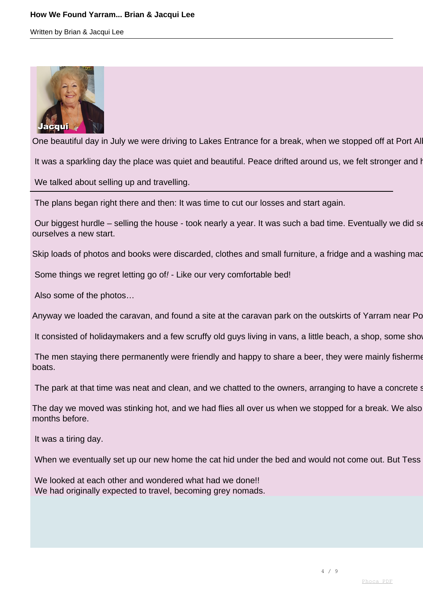

One beautiful day in July we were driving to Lakes Entrance for a break, when we stopped off at Port Al

It was a sparkling day the place was quiet and beautiful. Peace drifted around us, we felt stronger and happing

We talked about selling up and travelling.

The plans began right there and then: It was time to cut our losses and start again.

Our biggest hurdle – selling the house - took nearly a year. It was such a bad time. Eventually we did sell ourselves a new start.

Skip loads of photos and books were discarded, clothes and small furniture, a fridge and a washing made

Some things we regret letting go of! - Like our very comfortable bed!

Also some of the photos…

Anyway we loaded the caravan, and found a site at the caravan park on the outskirts of Yarram near Po

It consisted of holidaymakers and a few scruffy old guys living in vans, a little beach, a shop, some show

The men staying there permanently were friendly and happy to share a beer, they were mainly fisherme boats.

The park at that time was neat and clean, and we chatted to the owners, arranging to have a concrete solution

The day we moved was stinking hot, and we had flies all over us when we stopped for a break. We also months before.

It was a tiring day.

When we eventually set up our new home the cat hid under the bed and would not come out. But Tess

We looked at each other and wondered what had we done!! We had originally expected to travel, becoming grey nomads.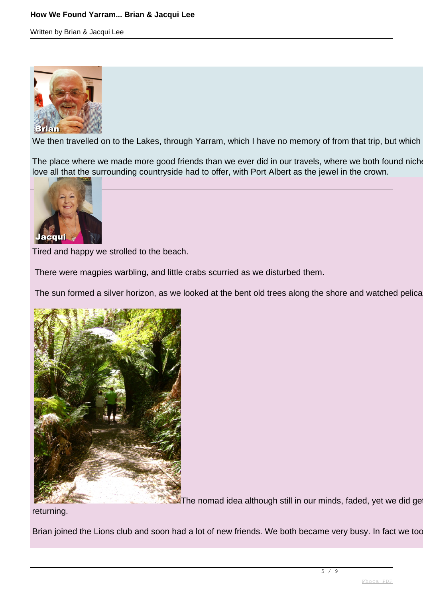

We then travelled on to the Lakes, through Yarram, which I have no memory of from that trip, but which

The place where we made more good friends than we ever did in our travels, where we both found nich love all that the surrounding countryside had to offer, with Port Albert as the jewel in the crown.



Tired and happy we strolled to the beach.

There were magpies warbling, and little crabs scurried as we disturbed them.

The sun formed a silver horizon, as we looked at the bent old trees along the shore and watched pelicanties.



 $\blacktriangleright$  The nomad idea although still in our minds, faded, yet we did get

returning.

Brian joined the Lions club and soon had a lot of new friends. We both became very busy. In fact we too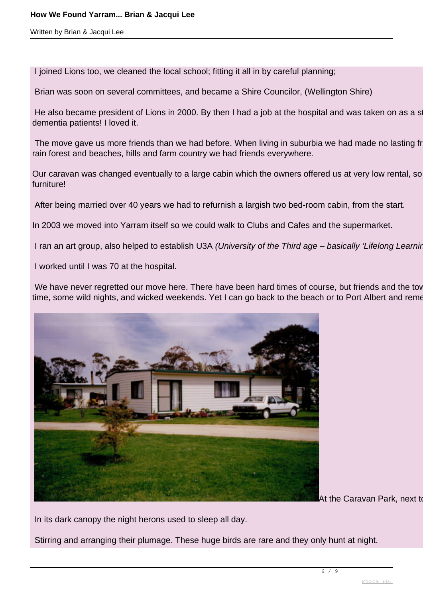I joined Lions too, we cleaned the local school; fitting it all in by careful planning;

Brian was soon on several committees, and became a Shire Councilor, (Wellington Shire)

He also became president of Lions in 2000. By then I had a job at the hospital and was taken on as a student at 64 to do contract at 64 social and was taken on as a student at 64 to do contract which involved carrier for a dementia patients! I loved it.

The move gave us more friends than we had before. When living in suburbia we had made no lasting from rain forest and beaches, hills and farm country we had friends everywhere.

Our caravan was changed eventually to a large cabin which the owners offered us at very low rental, so furniture!

After being married over 40 years we had to refurnish a largish two bed-room cabin, from the start.

In 2003 we moved into Yarram itself so we could walk to Clubs and Cafes and the supermarket.

I ran an art group, also helped to establish U3A (University of the Third age – basically 'Lifelong Learning'

I worked until I was 70 at the hospital.

We have never regretted our move here. There have been hard times of course, but friends and the town the pain. time, some wild nights, and wicked weekends. Yet I can go back to the beach or to Port Albert and reme



At the Caravan Park, next to

In its dark canopy the night herons used to sleep all day.

Stirring and arranging their plumage. These huge birds are rare and they only hunt at night.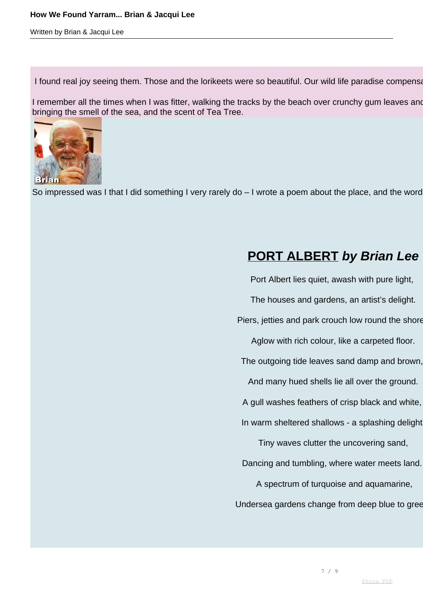#### **How We Found Yarram... Brian & Jacqui Lee**

Written by Brian & Jacqui Lee

I found real joy seeing them. Those and the lorikeets were so beautiful. Our wild life paradise compensation

I remember all the times when I was fitter, walking the tracks by the beach over crunchy gum leaves and bringing the smell of the sea, and the scent of Tea Tree.



So impressed was I that I did something I very rarely do  $-1$  wrote a poem about the place, and the word

# **PORT ALBERT by Brian Lee**

Port Albert lies quiet, awash with pure light, The houses and gardens, an artist's delight. Piers, jetties and park crouch low round the shore, Aglow with rich colour, like a carpeted floor. The outgoing tide leaves sand damp and brown, And many hued shells lie all over the ground. A gull washes feathers of crisp black and white, In warm sheltered shallows - a splashing delight Tiny waves clutter the uncovering sand, Dancing and tumbling, where water meets land. A spectrum of turquoise and aquamarine, Undersea gardens change from deep blue to gree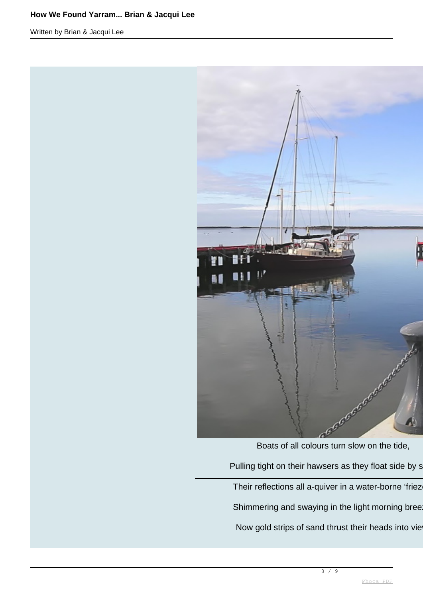## **How We Found Yarram... Brian & Jacqui Lee**

Written by Brian & Jacqui Lee



Boats of all colours turn slow on the tide, Pulling tight on their hawsers as they float side by s Their reflections all a-quiver in a water-borne 'friez Shimmering and swaying in the light morning bree Now gold strips of sand thrust their heads into vie